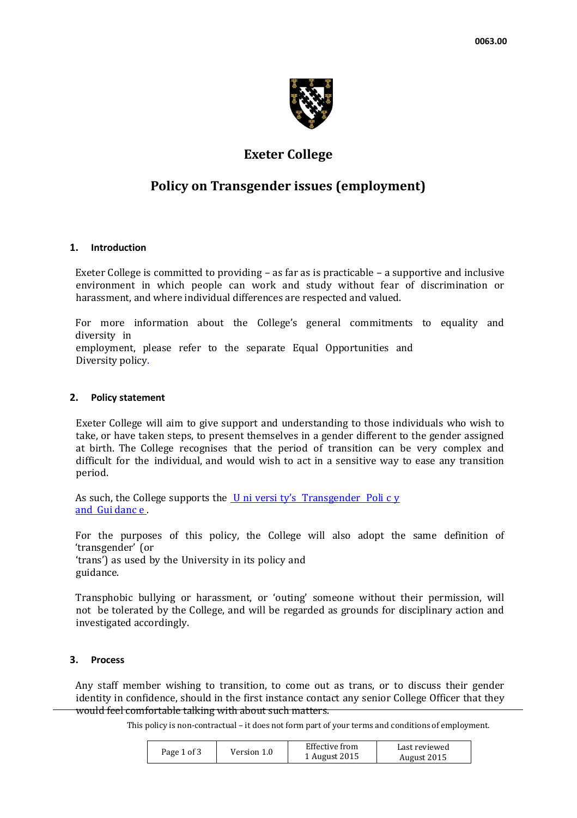

# **Exeter College**

# **Policy on Transgender issues (employment)**

### **1. Introduction**

Exeter College is committed to providing – as far as is practicable – a supportive and inclusive environment in which people can work and study without fear of discrimination or harassment, and where individual differences are respected and valued.

For more information about the College's general commitments to equality and diversity in

employment, please refer to the separate Equal Opportunities and Diversity policy.

#### **2. Policy statement**

Exeter College will aim to give support and understanding to those individuals who wish to take, or have taken steps, to present themselves in a gender different to the gender assigned at birth. The College recognises that the period of transition can be very complex and difficult for the individual, and would wish to act in a sensitive way to ease any transition period.

As such, the College supports the  $U$  ni versi ty'[s Transgender Poli](http://www.admin.ox.ac.uk/eop/transgender/) c y</u> [and Gui](http://www.admin.ox.ac.uk/eop/transgender/) danc e .

For the purposes of this policy, the College will also adopt the same definition of 'transgender' (or

'trans') as used by the University in its policy and guidance.

Transphobic bullying or harassment, or 'outing' someone without their permission, will not be tolerated by the College, and will be regarded as grounds for disciplinary action and investigated accordingly.

### **3. Process**

Any staff member wishing to transition, to come out as trans, or to discuss their gender identity in confidence, should in the first instance contact any senior College Officer that they would feel comfortable talking with about such matters.

This policy is non-contractual – it does not form part of your terms and conditions of employment.

| Page 1 of 3 | Version 1.0 | Effective from | Last reviewed |
|-------------|-------------|----------------|---------------|
|             |             | 1 August 2015  | August 2015   |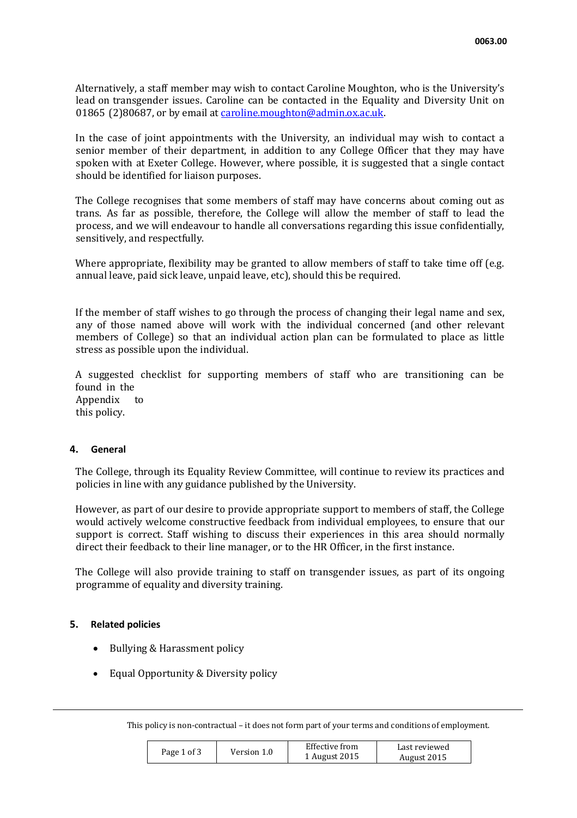Alternatively, a staff member may wish to contact Caroline Moughton, who is the University's lead on transgender issues. Caroline can be contacted in the Equality and Diversity Unit on 01865 (2)80687, or by email at [caroline.moughton@admin.ox.ac.uk.](mailto:caroline.moughton@admin.ox.ac.uk)

In the case of joint appointments with the University, an individual may wish to contact a senior member of their department, in addition to any College Officer that they may have spoken with at Exeter College. However, where possible, it is suggested that a single contact should be identified for liaison purposes.

The College recognises that some members of staff may have concerns about coming out as trans. As far as possible, therefore, the College will allow the member of staff to lead the process, and we will endeavour to handle all conversations regarding this issue confidentially, sensitively, and respectfully.

Where appropriate, flexibility may be granted to allow members of staff to take time off (e.g. annual leave, paid sick leave, unpaid leave, etc), should this be required.

If the member of staff wishes to go through the process of changing their legal name and sex, any of those named above will work with the individual concerned (and other relevant members of College) so that an individual action plan can be formulated to place as little stress as possible upon the individual.

A suggested checklist for supporting members of staff who are transitioning can be found in the Appendix to this policy.

### **4. General**

The College, through its Equality Review Committee, will continue to review its practices and policies in line with any guidance published by the University.

However, as part of our desire to provide appropriate support to members of staff, the College would actively welcome constructive feedback from individual employees, to ensure that our support is correct. Staff wishing to discuss their experiences in this area should normally direct their feedback to their line manager, or to the HR Officer, in the first instance.

The College will also provide training to staff on transgender issues, as part of its ongoing programme of equality and diversity training.

### **5. Related policies**

- Bullying & Harassment policy
- Equal Opportunity & Diversity policy

This policy is non-contractual – it does not form part of your terms and conditions of employment.

| Page 1 of 3 | Version 1.0 | Effective from | Last reviewed |
|-------------|-------------|----------------|---------------|
|             |             | 1 August 2015  | August 2015   |